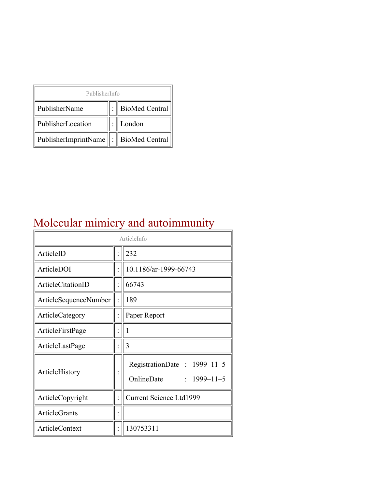| PublisherInfo                               |  |                    |  |  |
|---------------------------------------------|--|--------------------|--|--|
| PublisherName                               |  | :   BioMed Central |  |  |
| PublisherLocation                           |  | London             |  |  |
| PublisherImprintName    :    BioMed Central |  |                    |  |  |

## Molecular mimicry and autoimmunity

| ArticleInfo           |  |                                                                |  |
|-----------------------|--|----------------------------------------------------------------|--|
| ArticleID             |  | 232                                                            |  |
| ArticleDOI            |  | 10.1186/ar-1999-66743                                          |  |
| ArticleCitationID     |  | 66743                                                          |  |
| ArticleSequenceNumber |  | 189                                                            |  |
| ArticleCategory       |  | Paper Report                                                   |  |
| ArticleFirstPage      |  | 1                                                              |  |
| ArticleLastPage       |  | 3                                                              |  |
| ArticleHistory        |  | RegistrationDate: 1999-11-5<br>OnlineDate<br>$: 1999 - 11 - 5$ |  |
| ArticleCopyright      |  | <b>Current Science Ltd1999</b>                                 |  |
| <b>ArticleGrants</b>  |  |                                                                |  |
| ArticleContext        |  | 130753311                                                      |  |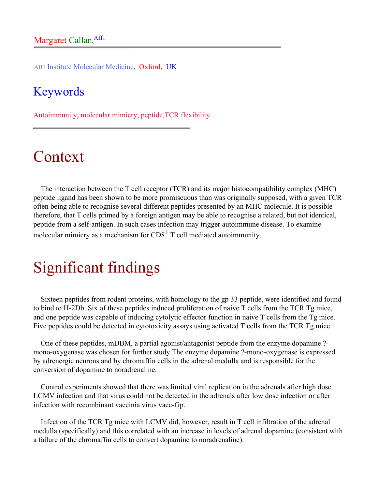Aff1 Institute Molecular Medicine, Oxford, UK

#### Keywords

Autoimmunity, molecular mimicry, peptide,TCR flexibility

# Context

The interaction between the T cell receptor (TCR) and its major histocompatibility complex (MHC) peptide ligand has been shown to be more promiscuous than was originally supposed, with a given TCR often being able to recognise several different peptides presented by an MHC molecule. It is possible therefore, that T cells primed by a foreign antigen may be able to recognise a related, but not identical, peptide from a self-antigen. In such cases infection may trigger autoimmune disease. To examine molecular mimicry as a mechanism for  $CD8<sup>+</sup>$  T cell mediated autoimmunity.

## Significant findings

Sixteen peptides from rodent proteins, with homology to the gp 33 peptide, were identified and found to bind to H-2Db. Six of these peptides induced proliferation of naive T cells from the TCR Tg mice, and one peptide was capable of inducing cytolytic effector function in naive T cells from the Tg mice. Five peptides could be detected in cytotoxicity assays using activated T cells from the TCR Tg mice.

One of these peptides, mDBM, a partial agonist/antagonist peptide from the enzyme dopamine ? mono-oxygenase was chosen for further study.The enzyme dopamine ?-mono-oxygenase is expressed by adrenergic neurons and by chromaffin cells in the adrenal medulla and is responsible for the conversion of dopamine to noradrenaline.

Control experiments showed that there was limited viral replication in the adrenals after high dose LCMV infection and that virus could not be detected in the adrenals after low dose infection or after infection with recombinant vaccinia virus vacc-Gp.

Infection of the TCR Tg mice with LCMV did, however, result in T cell infiltration of the adrenal medulla (specifically) and this correlated with an increase in levels of adrenal dopamine (consistent with a failure of the chromaffin cells to convert dopamine to noradrenaline).